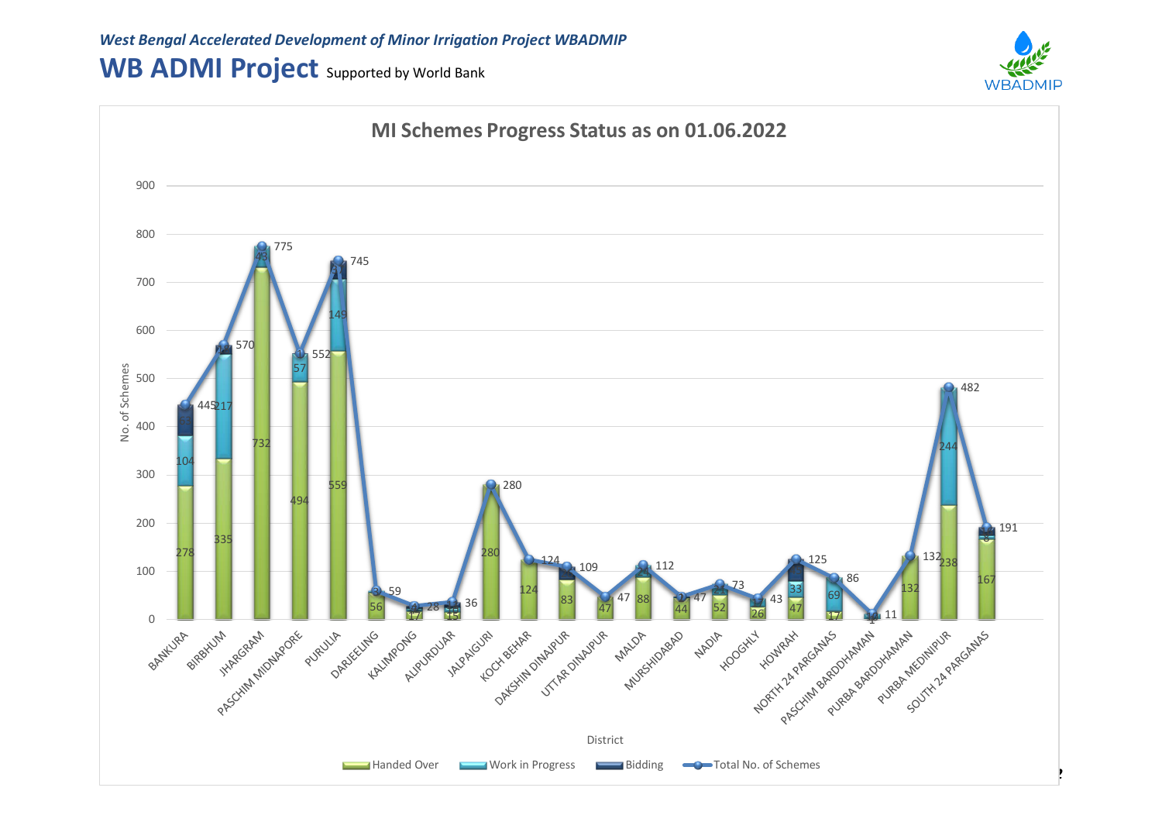## WB ADMI Project Supported by World Bank